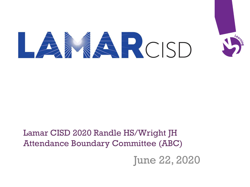

## Lamar CISD 2020 Randle HS/Wright JH Attendance Boundary Committee (ABC)

June 22, 2020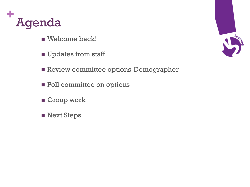

- Welcome back!
- Updates from staff
- Review committee options-Demographer
- Poll committee on options
- Group work
- Next Steps

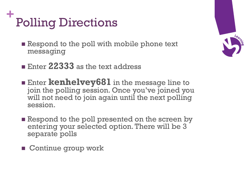## **+** Polling Directions

- Respond to the poll with mobile phone text messaging
- Enter 22333<sub>3</sub> as the text address
- Enter **kenhelvey681** in the message line to join the polling session. Once you've joined you will not need to join again until the next polling session.
- Respond to the poll presented on the screen by entering your selected option. There will be 3 separate polls
- Continue group work

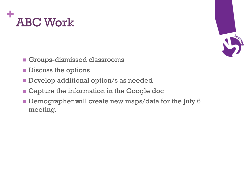



- Groups-dismissed classrooms
- Discuss the options
- Develop additional option/s as needed
- Capture the information in the Google doc
- Demographer will create new maps/data for the July 6 meeting.